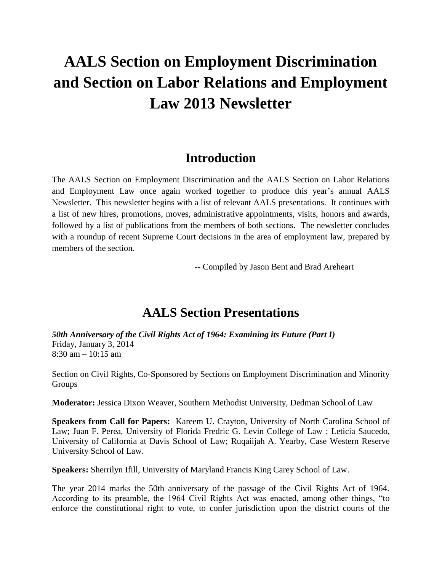# **AALS Section on Employment Discrimination and Section on Labor Relations and Employment Law 2013 Newsletter**

# **Introduction**

The AALS Section on Employment Discrimination and the AALS Section on Labor Relations and Employment Law once again worked together to produce this year's annual AALS Newsletter. This newsletter begins with a list of relevant AALS presentations. It continues with a list of new hires, promotions, moves, administrative appointments, visits, honors and awards, followed by a list of publications from the members of both sections. The newsletter concludes with a roundup of recent Supreme Court decisions in the area of employment law, prepared by members of the section.

-- Compiled by Jason Bent and Brad Areheart

# **AALS Section Presentations**

*50th Anniversary of the Civil Rights Act of 1964: Examining its Future (Part I)* Friday, January 3, 2014  $8:30$  am  $-10:15$  am

Section on Civil Rights, Co-Sponsored by Sections on Employment Discrimination and Minority Groups

**Moderator:** Jessica Dixon Weaver, Southern Methodist University, Dedman School of Law

**Speakers from Call for Papers:** Kareem U. Crayton, University of North Carolina School of Law; Juan F. Perea, University of Florida Fredric G. Levin College of Law ; Leticia Saucedo, University of California at Davis School of Law; Ruqaiijah A. Yearby, Case Western Reserve University School of Law.

**Speakers:** Sherrilyn Ifill, University of Maryland Francis King Carey School of Law.

The year 2014 marks the 50th anniversary of the passage of the Civil Rights Act of 1964. According to its preamble, the 1964 Civil Rights Act was enacted, among other things, "to enforce the constitutional right to vote, to confer jurisdiction upon the district courts of the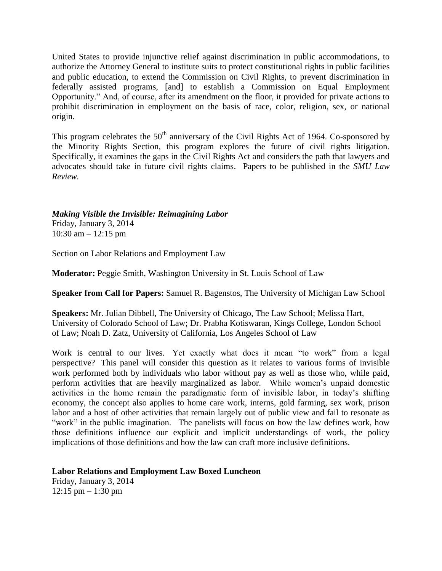United States to provide injunctive relief against discrimination in public accommodations, to authorize the Attorney General to institute suits to protect constitutional rights in public facilities and public education, to extend the Commission on Civil Rights, to prevent discrimination in federally assisted programs, [and] to establish a Commission on Equal Employment Opportunity." And, of course, after its amendment on the floor, it provided for private actions to prohibit discrimination in employment on the basis of race, color, religion, sex, or national origin.

This program celebrates the  $50<sup>th</sup>$  anniversary of the Civil Rights Act of 1964. Co-sponsored by the Minority Rights Section, this program explores the future of civil rights litigation. Specifically, it examines the gaps in the Civil Rights Act and considers the path that lawyers and advocates should take in future civil rights claims. Papers to be published in the *SMU Law Review.*

### *Making Visible the Invisible: Reimagining Labor* Friday, January 3, 2014

10:30 am – 12:15 pm

Section on Labor Relations and Employment Law

**Moderator:** Peggie Smith, Washington University in St. Louis School of Law

**Speaker from Call for Papers:** Samuel R. Bagenstos, The University of Michigan Law School

**Speakers:** Mr. Julian Dibbell, The University of Chicago, The Law School; Melissa Hart, University of Colorado School of Law; Dr. Prabha Kotiswaran, Kings College, London School of Law; Noah D. Zatz, University of California, Los Angeles School of Law

Work is central to our lives. Yet exactly what does it mean "to work" from a legal perspective? This panel will consider this question as it relates to various forms of invisible work performed both by individuals who labor without pay as well as those who, while paid, perform activities that are heavily marginalized as labor. While women's unpaid domestic activities in the home remain the paradigmatic form of invisible labor, in today's shifting economy, the concept also applies to home care work, interns, gold farming, sex work, prison labor and a host of other activities that remain largely out of public view and fail to resonate as "work" in the public imagination. The panelists will focus on how the law defines work, how those definitions influence our explicit and implicit understandings of work, the policy implications of those definitions and how the law can craft more inclusive definitions.

## **Labor Relations and Employment Law Boxed Luncheon**

Friday, January 3, 2014  $12:15$  pm  $-1:30$  pm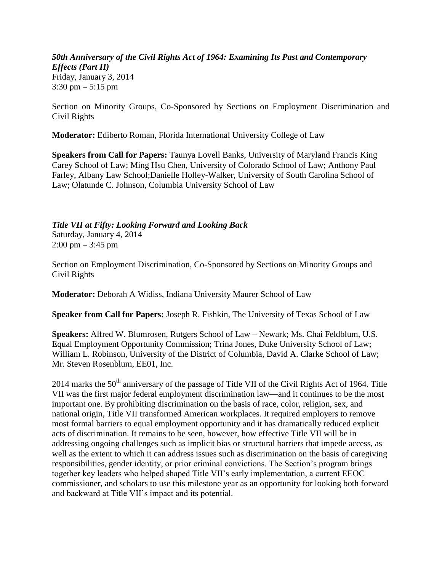*50th Anniversary of the Civil Rights Act of 1964: Examining Its Past and Contemporary Effects (Part II)* Friday, January 3, 2014 3:30 pm – 5:15 pm

Section on Minority Groups, Co-Sponsored by Sections on Employment Discrimination and Civil Rights

**Moderator:** Ediberto Roman, Florida International University College of Law

**Speakers from Call for Papers:** Taunya Lovell Banks, University of Maryland Francis King Carey School of Law; Ming Hsu Chen, University of Colorado School of Law; Anthony Paul Farley, Albany Law School;Danielle Holley-Walker, University of South Carolina School of Law; Olatunde C. Johnson, Columbia University School of Law

#### *Title VII at Fifty: Looking Forward and Looking Back*

Saturday, January 4, 2014  $2:00 \text{ pm} - 3:45 \text{ pm}$ 

Section on Employment Discrimination, Co-Sponsored by Sections on Minority Groups and Civil Rights

**Moderator:** Deborah A Widiss, Indiana University Maurer School of Law

**Speaker from Call for Papers:** Joseph R. Fishkin, The University of Texas School of Law

**Speakers:** Alfred W. Blumrosen, Rutgers School of Law – Newark; Ms. Chai Feldblum, U.S. Equal Employment Opportunity Commission; Trina Jones, Duke University School of Law; William L. Robinson, University of the District of Columbia, David A. Clarke School of Law; Mr. Steven Rosenblum, EE01, Inc.

2014 marks the 50<sup>th</sup> anniversary of the passage of Title VII of the Civil Rights Act of 1964. Title VII was the first major federal employment discrimination law—and it continues to be the most important one. By prohibiting discrimination on the basis of race, color, religion, sex, and national origin, Title VII transformed American workplaces. It required employers to remove most formal barriers to equal employment opportunity and it has dramatically reduced explicit acts of discrimination. It remains to be seen, however, how effective Title VII will be in addressing ongoing challenges such as implicit bias or structural barriers that impede access, as well as the extent to which it can address issues such as discrimination on the basis of caregiving responsibilities, gender identity, or prior criminal convictions. The Section's program brings together key leaders who helped shaped Title VII's early implementation, a current EEOC commissioner, and scholars to use this milestone year as an opportunity for looking both forward and backward at Title VII's impact and its potential.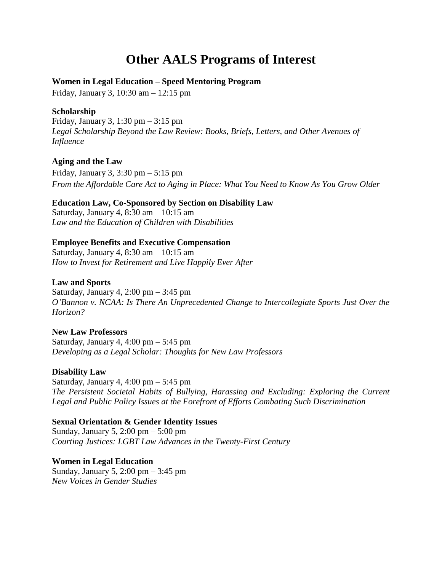# **Other AALS Programs of Interest**

#### **Women in Legal Education – Speed Mentoring Program**

Friday, January 3, 10:30 am – 12:15 pm

#### **Scholarship**

Friday, January 3, 1:30 pm – 3:15 pm *Legal Scholarship Beyond the Law Review: Books, Briefs, Letters, and Other Avenues of Influence*

#### **Aging and the Law**

Friday, January 3, 3:30 pm – 5:15 pm *From the Affordable Care Act to Aging in Place: What You Need to Know As You Grow Older*

#### **Education Law, Co-Sponsored by Section on Disability Law**

Saturday, January 4, 8:30 am – 10:15 am *Law and the Education of Children with Disabilities*

#### **Employee Benefits and Executive Compensation**

Saturday, January 4, 8:30 am – 10:15 am *How to Invest for Retirement and Live Happily Ever After*

#### **Law and Sports**

Saturday, January 4,  $2:00 \text{ pm} - 3:45 \text{ pm}$ *O'Bannon v. NCAA: Is There An Unprecedented Change to Intercollegiate Sports Just Over the Horizon?*

**New Law Professors** Saturday, January 4, 4:00 pm  $-$  5:45 pm *Developing as a Legal Scholar: Thoughts for New Law Professors*

#### **Disability Law**

Saturday, January 4, 4:00 pm  $-$  5:45 pm *The Persistent Societal Habits of Bullying, Harassing and Excluding: Exploring the Current Legal and Public Policy Issues at the Forefront of Efforts Combating Such Discrimination*

#### **Sexual Orientation & Gender Identity Issues**

Sunday, January 5, 2:00 pm – 5:00 pm *Courting Justices: LGBT Law Advances in the Twenty-First Century*

#### **Women in Legal Education**

Sunday, January 5, 2:00 pm – 3:45 pm *New Voices in Gender Studies*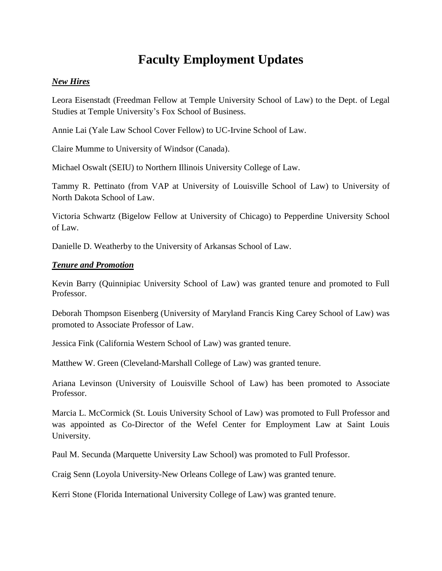# **Faculty Employment Updates**

#### *New Hires*

Leora Eisenstadt (Freedman Fellow at Temple University School of Law) to the Dept. of Legal Studies at Temple University's Fox School of Business.

Annie Lai (Yale Law School Cover Fellow) to UC-Irvine School of Law.

Claire Mumme to University of Windsor (Canada).

Michael Oswalt (SEIU) to Northern Illinois University College of Law.

Tammy R. Pettinato (from VAP at University of Louisville School of Law) to University of North Dakota School of Law.

Victoria Schwartz (Bigelow Fellow at University of Chicago) to Pepperdine University School of Law.

Danielle D. Weatherby to the University of Arkansas School of Law.

#### *Tenure and Promotion*

Kevin Barry (Quinnipiac University School of Law) was granted tenure and promoted to Full Professor.

Deborah Thompson Eisenberg (University of Maryland Francis King Carey School of Law) was promoted to Associate Professor of Law.

Jessica Fink (California Western School of Law) was granted tenure.

Matthew W. Green (Cleveland-Marshall College of Law) was granted tenure.

Ariana Levinson (University of Louisville School of Law) has been promoted to Associate Professor.

Marcia L. McCormick (St. Louis University School of Law) was promoted to Full Professor and was appointed as Co-Director of the Wefel Center for Employment Law at Saint Louis University.

Paul M. Secunda (Marquette University Law School) was promoted to Full Professor.

Craig Senn (Loyola University-New Orleans College of Law) was granted tenure.

Kerri Stone (Florida International University College of Law) was granted tenure.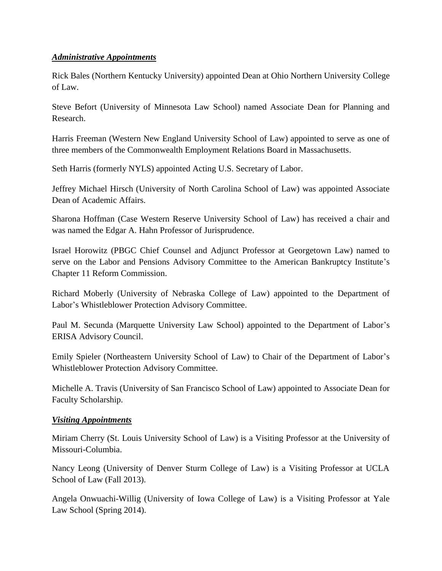#### *Administrative Appointments*

Rick Bales (Northern Kentucky University) appointed Dean at Ohio Northern University College of Law.

Steve Befort (University of Minnesota Law School) named Associate Dean for Planning and Research.

Harris Freeman (Western New England University School of Law) appointed to serve as one of three members of the Commonwealth Employment Relations Board in Massachusetts.

Seth Harris (formerly NYLS) appointed Acting U.S. Secretary of Labor.

Jeffrey Michael Hirsch (University of North Carolina School of Law) was appointed Associate Dean of Academic Affairs.

Sharona Hoffman (Case Western Reserve University School of Law) has received a chair and was named the Edgar A. Hahn Professor of Jurisprudence.

Israel Horowitz (PBGC Chief Counsel and Adjunct Professor at Georgetown Law) named to serve on the Labor and Pensions Advisory Committee to the American Bankruptcy Institute's Chapter 11 Reform Commission.

Richard Moberly (University of Nebraska College of Law) appointed to the Department of Labor's Whistleblower Protection Advisory Committee.

Paul M. Secunda (Marquette University Law School) appointed to the Department of Labor's ERISA Advisory Council.

Emily Spieler (Northeastern University School of Law) to Chair of the Department of Labor's Whistleblower Protection Advisory Committee.

Michelle A. Travis (University of San Francisco School of Law) appointed to Associate Dean for Faculty Scholarship.

#### *Visiting Appointments*

Miriam Cherry (St. Louis University School of Law) is a Visiting Professor at the University of Missouri-Columbia.

Nancy Leong (University of Denver Sturm College of Law) is a Visiting Professor at UCLA School of Law (Fall 2013).

Angela Onwuachi-Willig (University of Iowa College of Law) is a Visiting Professor at Yale Law School (Spring 2014).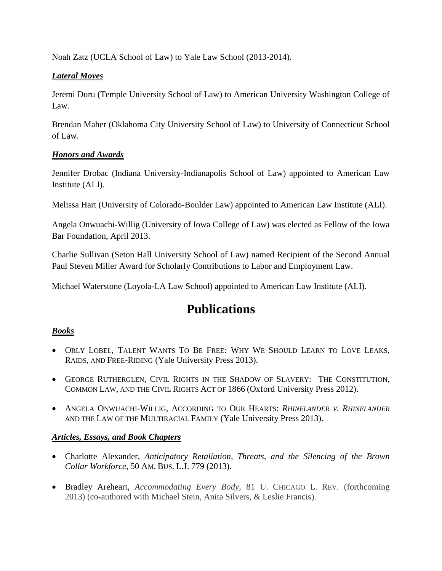Noah Zatz (UCLA School of Law) to Yale Law School (2013-2014).

### *Lateral Moves*

Jeremi Duru (Temple University School of Law) to American University Washington College of Law.

Brendan Maher (Oklahoma City University School of Law) to University of Connecticut School of Law.

### *Honors and Awards*

Jennifer Drobac (Indiana University-Indianapolis School of Law) appointed to American Law Institute (ALI).

Melissa Hart (University of Colorado-Boulder Law) appointed to American Law Institute (ALI).

Angela Onwuachi-Willig (University of Iowa College of Law) was elected as Fellow of the Iowa Bar Foundation, April 2013.

Charlie Sullivan (Seton Hall University School of Law) named Recipient of the Second Annual Paul Steven Miller Award for Scholarly Contributions to Labor and Employment Law.

Michael Waterstone (Loyola-LA Law School) appointed to American Law Institute (ALI).

# **Publications**

### *Books*

- ORLY LOBEL, TALENT WANTS TO BE FREE: WHY WE SHOULD LEARN TO LOVE LEAKS, RAIDS, AND FREE-RIDING (Yale University Press 2013).
- GEORGE RUTHERGLEN, CIVIL RIGHTS IN THE SHADOW OF SLAVERY: THE CONSTITUTION, COMMON LAW, AND THE CIVIL RIGHTS ACT OF 1866 (Oxford University Press 2012).
- ANGELA ONWUACHI-WILLIG, ACCORDING TO OUR HEARTS: *RHINELANDER V. RHINELANDER*  AND THE LAW OF THE MULTIRACIAL FAMILY (Yale University Press 2013).

### *Articles, Essays, and Book Chapters*

- Charlotte Alexander, *Anticipatory Retaliation, Threats, and the Silencing of the Brown Collar Workforce*, 50 AM. BUS. L.J. 779 (2013).
- Bradley Areheart, *Accommodating Every Body,* 81 U. CHICAGO L. REV. (forthcoming 2013) (co-authored with Michael Stein, Anita Silvers, & Leslie Francis).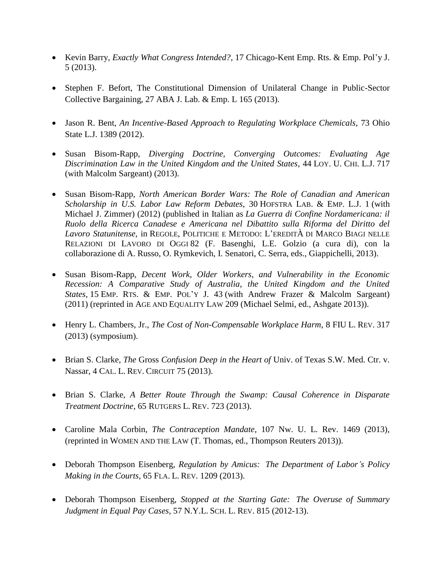- Kevin Barry, *Exactly What Congress Intended?*, 17 Chicago-Kent Emp. Rts. & Emp. Pol'y J. 5 (2013).
- Stephen F. Befort, The Constitutional Dimension of Unilateral Change in Public-Sector Collective Bargaining, 27 ABA J. Lab. & Emp. L 165 (2013).
- Jason R. Bent, *An Incentive-Based Approach to Regulating Workplace Chemicals*, 73 Ohio State L.J. 1389 (2012).
- Susan Bisom-Rapp, *Diverging Doctrine, Converging Outcomes: Evaluating Age Discrimination Law in the United Kingdom and the United States*, 44 LOY. U. CHI. L.J. 717 (with Malcolm Sargeant) (2013).
- Susan Bisom-Rapp, *North American Border Wars: The Role of Canadian and American Scholarship in U.S. Labor Law Reform Debates*, 30 HOFSTRA LAB. & EMP. L.J. 1 (with Michael J. Zimmer) (2012) (published in Italian as *La Guerra di Confine Nordamericana: il Ruolo della Ricerca Canadese e Americana nel Dibattito sulla Riforma del Diritto del Lavoro Statunitense*, in REGOLE, POLITICHE E METODO: L'EREDITÀ DI MARCO BIAGI NELLE RELAZIONI DI LAVORO DI OGGI 82 (F. Basenghi, L.E. Golzio (a cura di), con la collaborazione di A. Russo, O. Rymkevich, I. Senatori, C. Serra, eds., Giappichelli, 2013).
- Susan Bisom-Rapp, *Decent Work, Older Workers, and Vulnerability in the Economic Recession: A Comparative Study of Australia, the United Kingdom and the United States,* 15 EMP. RTS. & EMP. POL'Y J. 43 (with Andrew Frazer & Malcolm Sargeant) (2011) (reprinted in AGE AND EQUALITY LAW 209 (Michael Selmi, ed., Ashgate 2013)).
- Henry L. Chambers, Jr., *The Cost of Non-Compensable Workplace Harm*, 8 FIU L. REV. 317 (2013) (symposium).
- Brian S. Clarke, *The* Gross *Confusion Deep in the Heart of* Univ. of Texas S.W. Med. Ctr. v. Nassar, 4 CAL. L. REV. CIRCUIT 75 (2013).
- Brian S. Clarke, *A Better Route Through the Swamp: Causal Coherence in Disparate Treatment Doctrine*, 65 RUTGERS L. REV. 723 (2013).
- Caroline Mala Corbin, *The Contraception Mandate*, 107 Nw. U. L. Rev. 1469 (2013), (reprinted in WOMEN AND THE LAW (T. Thomas, ed., Thompson Reuters 2013)).
- Deborah Thompson Eisenberg, *Regulation by Amicus: The Department of Labor's Policy Making in the Courts*, 65 FLA. L. REV. 1209 (2013).
- Deborah Thompson Eisenberg, *Stopped at the Starting Gate: The Overuse of Summary Judgment in Equal Pay Cases*, 57 N.Y.L. SCH. L. REV. 815 (2012-13).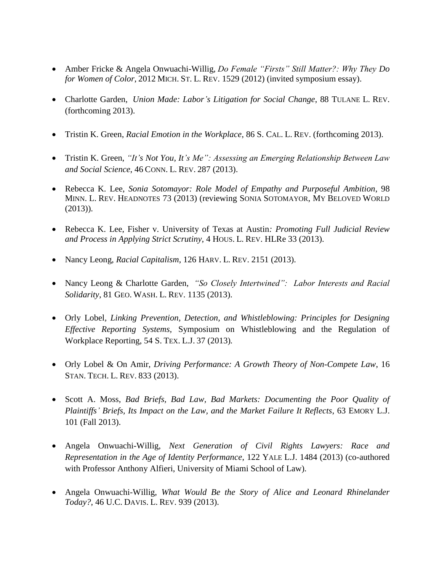- Amber Fricke & Angela Onwuachi-Willig, *Do Female "Firsts" Still Matter?: Why They Do for Women of Color*, 2012 MICH. ST. L. REV. 1529 (2012) (invited symposium essay).
- Charlotte Garden, *Union Made: Labor's Litigation for Social Change*, 88 TULANE L. REV. (forthcoming 2013).
- Tristin K. Green, *Racial Emotion in the Workplace*, 86 S. CAL. L. REV. (forthcoming 2013).
- Tristin K. Green, *"It's Not You, It's Me": Assessing an Emerging Relationship Between Law and Social Science*, 46 CONN. L. REV. 287 (2013).
- Rebecca K. Lee, *Sonia Sotomayor: Role Model of Empathy and Purposeful Ambition*, 98 MINN. L. REV. HEADNOTES 73 (2013) (reviewing SONIA SOTOMAYOR, MY BELOVED WORLD (2013)).
- Rebecca K. Lee, Fisher v. University of Texas at Austin*: Promoting Full Judicial Review and Process in Applying Strict Scrutiny*, 4 HOUS. L. REV. HLRe 33 (2013).
- Nancy Leong, *Racial Capitalism*, 126 HARV. L. REV. 2151 (2013).
- Nancy Leong & Charlotte Garden, *"So Closely Intertwined": Labor Interests and Racial Solidarity*, 81 GEO. WASH. L. REV. 1135 (2013).
- Orly Lobel*, Linking Prevention, Detection, and Whistleblowing: Principles for Designing Effective Reporting Systems,* Symposium on Whistleblowing and the Regulation of Workplace Reporting, 54 S. TEX. L.J. 37 (2013)*.*
- Orly Lobel & On Amir, *Driving Performance: A Growth Theory of Non-Compete Law*, 16 STAN. TECH. L. REV. 833 (2013).
- Scott A. Moss, *Bad Briefs, Bad Law, Bad Markets: Documenting the Poor Quality of Plaintiffs' Briefs, Its Impact on the Law, and the Market Failure It Reflects*, 63 EMORY L.J. 101 (Fall 2013).
- Angela Onwuachi-Willig, *Next Generation of Civil Rights Lawyers: Race and Representation in the Age of Identity Performance*, 122 YALE L.J. 1484 (2013) (co-authored with Professor Anthony Alfieri, University of Miami School of Law).
- Angela Onwuachi-Willig, *What Would Be the Story of Alice and Leonard Rhinelander Today?*, 46 U.C. DAVIS. L. REV. 939 (2013).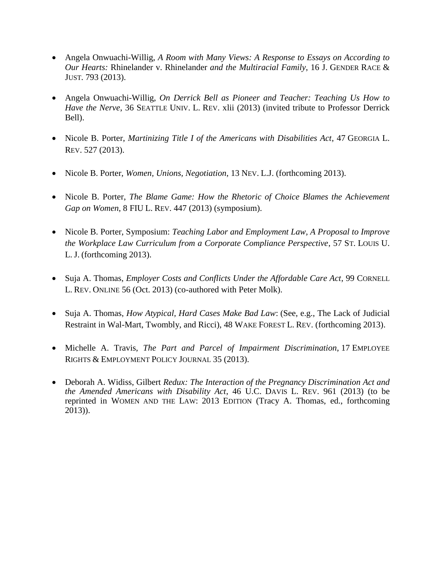- Angela Onwuachi-Willig, *A Room with Many Views: A Response to Essays on According to Our Hearts:* Rhinelander v. Rhinelander *and the Multiracial Family*, 16 J. GENDER RACE & JUST. 793 (2013).
- Angela Onwuachi-Willig, *On Derrick Bell as Pioneer and Teacher: Teaching Us How to Have the Nerve*, 36 SEATTLE UNIV. L. REV. xlii (2013) (invited tribute to Professor Derrick Bell).
- Nicole B. Porter, *Martinizing Title I of the Americans with Disabilities Act*, 47 GEORGIA L. REV. 527 (2013).
- Nicole B. Porter, *Women, Unions, Negotiation*, 13 NEV. L.J. (forthcoming 2013).
- Nicole B. Porter, *The Blame Game: How the Rhetoric of Choice Blames the Achievement Gap on Women*, 8 FIU L. REV. 447 (2013) (symposium).
- Nicole B. Porter, Symposium: *Teaching Labor and Employment Law, A Proposal to Improve the Workplace Law Curriculum from a Corporate Compliance Perspective*, 57 ST. LOUIS U. L. J. (forthcoming 2013).
- Suja A. Thomas, *[Employer Costs and Conflicts Under the Affordable Care Act](http://papers.ssrn.com/sol3/papers.cfm?abstract_id=2296193)*, 99 CORNELL L. REV. ONLINE 56 (Oct. 2013) (co-authored with Peter Molk).
- Suja A. Thomas, *[How Atypical, Hard Cases Make Bad Law](http://papers.ssrn.com/sol3/papers.cfm?abstract_id=2229994)*: (See, e.g., The Lack of Judicial Restraint in Wal-Mart, Twombly, and Ricci), 48 WAKE FOREST L. REV. (forthcoming 2013).
- Michelle A. Travis, *The Part and Parcel of Impairment Discrimination*, 17 EMPLOYEE RIGHTS & EMPLOYMENT POLICY JOURNAL 35 (2013).
- Deborah A. Widiss, Gilbert *Redux: The Interaction of the Pregnancy Discrimination Act and the Amended Americans with Disability Act*, 46 U.C. DAVIS L. REV. 961 (2013) (to be reprinted in WOMEN AND THE LAW: 2013 EDITION (Tracy A. Thomas, ed., forthcoming 2013)).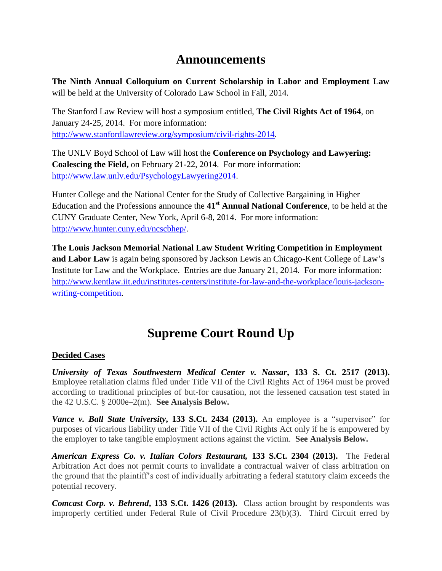# **Announcements**

**The Ninth Annual Colloquium on Current Scholarship in Labor and Employment Law** will be held at the University of Colorado Law School in Fall, 2014.

The Stanford Law Review will host a symposium entitled, **The Civil Rights Act of 1964**, on January 24-25, 2014. For more information: [http://www.stanfordlawreview.org/symposium/civil-rights-2014.](http://www.stanfordlawreview.org/symposium/civil-rights-2014)

The UNLV Boyd School of Law will host the **Conference on Psychology and Lawyering: Coalescing the Field,** on February 21-22, 2014. For more information: [http://www.law.unlv.edu/PsychologyLawyering2014.](http://www.law.unlv.edu/PsychologyLawyering2014)

Hunter College and the National Center for the Study of Collective Bargaining in Higher Education and the Professions announce the **41st Annual National Conference**, to be held at the CUNY Graduate Center, New York, April 6-8, 2014. For more information: [http://www.hunter.cuny.edu/ncscbhep/.](http://www.hunter.cuny.edu/ncscbhep/)

**The Louis Jackson Memorial National Law Student Writing Competition in Employment and Labor Law** is again being sponsored by Jackson Lewis an Chicago-Kent College of Law's Institute for Law and the Workplace. Entries are due January 21, 2014. For more information: [http://www.kentlaw.iit.edu/institutes-centers/institute-for-law-and-the-workplace/louis-jackson](http://www.kentlaw.iit.edu/institutes-centers/institute-for-law-and-the-workplace/louis-jackson-writing-competition)[writing-competition.](http://www.kentlaw.iit.edu/institutes-centers/institute-for-law-and-the-workplace/louis-jackson-writing-competition)

# **Supreme Court Round Up**

### **Decided Cases**

*University of Texas Southwestern Medical Center v. Nassar***, 133 S. Ct. 2517 (2013).**  Employee retaliation claims filed under Title VII of the Civil Rights Act of 1964 must be proved according to traditional principles of but-for causation, not the lessened causation test stated in the 42 U.S.C. § 2000e–2(m). **See Analysis Below.**

*Vance v. Ball State University***, 133 S.Ct. 2434 (2013).** An employee is a "supervisor" for purposes of vicarious liability under Title VII of the Civil Rights Act only if he is empowered by the employer to take tangible employment actions against the victim. **See Analysis Below.**

*American Express Co. v. Italian Colors Restaurant,* **133 S.Ct. 2304 (2013).** The Federal Arbitration Act does not permit courts to invalidate a contractual waiver of class arbitration on the ground that the plaintiff's cost of individually arbitrating a federal statutory claim exceeds the potential recovery.

*Comcast Corp. v. Behrend***, 133 S.Ct. 1426 (2013).** Class action brought by respondents was improperly certified under Federal Rule of Civil Procedure 23(b)(3). Third Circuit erred by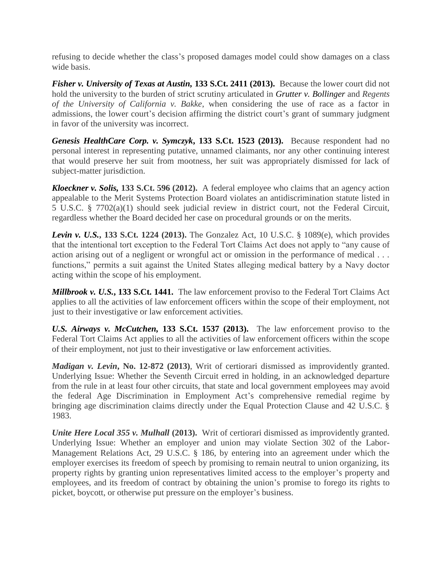refusing to decide whether the class's proposed damages model could show damages on a class wide basis.

*Fisher v. University of Texas at Austin,* **133 S.Ct. 2411 (2013).**Because the lower court did not hold the university to the burden of strict scrutiny articulated in *[Grutter v. Bollinger](http://www2.bloomberglaw.com/public/document/Grutter_v_Bollinger_539_US_306_156_L_Ed_2d_304_2003_Court_Opinion)* and *Regents of the University of California v. Bakke*, when considering the use of race as a factor in admissions, the lower court's decision affirming the district court's grant of summary judgment in favor of the university was incorrect.

*Genesis HealthCare Corp. v. Symczyk***, 133 S.Ct. 1523 (2013).** Because respondent had no personal interest in representing putative, unnamed claimants, nor any other continuing interest that would preserve her suit from mootness, her suit was appropriately dismissed for lack of subject-matter jurisdiction.

*Kloeckner v. Solis,* **133 S.Ct. 596 (2012).** A federal employee who claims that an agency action appealable to the Merit Systems Protection Board violates an antidiscrimination statute listed in 5 U.S.C. § 7702(a)(1) should seek judicial review in district court, not the Federal Circuit, regardless whether the Board decided her case on procedural grounds or on the merits.

*Levin v. U.S.***, 133 S.Ct. 1224 (2013).** The Gonzalez Act, 10 U.S.C. § 1089(e), which provides that the intentional tort exception to the Federal Tort Claims Act does not apply to "any cause of action arising out of a negligent or wrongful act or omission in the performance of medical . . . functions," permits a suit against the United States alleging medical battery by a Navy doctor acting within the scope of his employment.

*Millbrook v. U.S.***, 133 S.Ct. 1441.** The law enforcement proviso to the Federal Tort Claims Act applies to all the activities of law enforcement officers within the scope of their employment, not just to their investigative or law enforcement activities.

*U.S. Airways v. McCutchen,* **133 S.Ct. 1537 (2013).**The law enforcement proviso to the Federal Tort Claims Act applies to all the activities of law enforcement officers within the scope of their employment, not just to their investigative or law enforcement activities.

*Madigan v. Levin***, No. 12-872 (2013)**, Writ of certiorari dismissed as improvidently granted. Underlying Issue: Whether the Seventh Circuit erred in holding, in an acknowledged departure from the rule in at least four other circuits, that state and local government employees may avoid the federal Age Discrimination in Employment Act's comprehensive remedial regime by bringing age discrimination claims directly under the Equal Protection Clause and 42 U.S.C. § 1983.

*Unite Here Local 355 v. Mulhall* (2013). Writ of certiorari dismissed as improvidently granted. Underlying Issue: Whether an employer and union may violate Section 302 of the Labor-Management Relations Act, 29 U.S.C. § 186, by entering into an agreement under which the employer exercises its freedom of speech by promising to remain neutral to union organizing, its property rights by granting union representatives limited access to the employer's property and employees, and its freedom of contract by obtaining the union's promise to forego its rights to picket, boycott, or otherwise put pressure on the employer's business.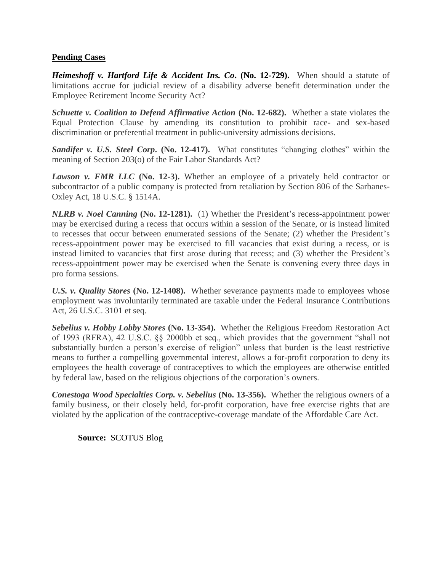#### **Pending Cases**

*Heimeshoff v. Hartford Life & Accident Ins. Co***. (No. 12-729).** When should a statute of limitations accrue for judicial review of a disability adverse benefit determination under the Employee Retirement Income Security Act?

*Schuette v. Coalition to Defend Affirmative Action* **(No. 12-682).** Whether a state violates the Equal Protection Clause by amending its constitution to prohibit race- and sex-based discrimination or preferential treatment in public-university admissions decisions.

**Sandifer v. U.S. Steel Corp. (No. 12-417).** What constitutes "changing clothes" within the meaning of Section 203(o) of the Fair Labor Standards Act?

*Lawson v. FMR LLC* (No. 12-3). Whether an employee of a privately held contractor or subcontractor of a public company is protected from retaliation by Section 806 of the Sarbanes-Oxley Act, 18 U.S.C. § 1514A.

*NLRB v. Noel Canning* **(No. 12-1281).** (1) Whether the President's recess-appointment power may be exercised during a recess that occurs within a session of the Senate, or is instead limited to recesses that occur between enumerated sessions of the Senate; (2) whether the President's recess-appointment power may be exercised to fill vacancies that exist during a recess, or is instead limited to vacancies that first arose during that recess; and (3) whether the President's recess-appointment power may be exercised when the Senate is convening every three days in pro forma sessions.

*U.S. v. Quality Stores* **(No. 12-1408).** Whether severance payments made to employees whose employment was involuntarily terminated are taxable under the Federal Insurance Contributions Act, 26 U.S.C. 3101 et seq.

*Sebelius v. Hobby Lobby Stores* **(No. 13-354).** Whether the Religious Freedom Restoration Act of 1993 (RFRA), 42 U.S.C. §§ 2000bb et seq., which provides that the government "shall not substantially burden a person's exercise of religion" unless that burden is the least restrictive means to further a compelling governmental interest, allows a for-profit corporation to deny its employees the health coverage of contraceptives to which the employees are otherwise entitled by federal law, based on the religious objections of the corporation's owners.

*Conestoga Wood Specialties Corp. v. Sebelius* **(No. 13-356).** Whether the religious owners of a family business, or their closely held, for-profit corporation, have free exercise rights that are violated by the application of the contraceptive-coverage mandate of the Affordable Care Act.

**Source:** SCOTUS Blog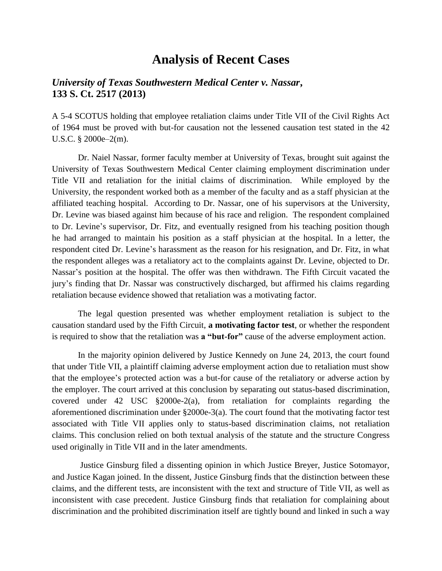# **Analysis of Recent Cases**

### *University of Texas Southwestern Medical Center v. Nassar***, 133 S. Ct. 2517 (2013)**

A 5-4 SCOTUS holding that employee retaliation claims under Title VII of the Civil Rights Act of 1964 must be proved with but-for causation not the lessened causation test stated in the 42 U.S.C. § 2000e–2(m).

Dr. Naiel Nassar, former faculty member at University of Texas, brought suit against the University of Texas Southwestern Medical Center claiming employment discrimination under Title VII and retaliation for the initial claims of discrimination. While employed by the University, the respondent worked both as a member of the faculty and as a staff physician at the affiliated teaching hospital. According to Dr. Nassar, one of his supervisors at the University, Dr. Levine was biased against him because of his race and religion. The respondent complained to Dr. Levine's supervisor, Dr. Fitz, and eventually resigned from his teaching position though he had arranged to maintain his position as a staff physician at the hospital. In a letter, the respondent cited Dr. Levine's harassment as the reason for his resignation, and Dr. Fitz, in what the respondent alleges was a retaliatory act to the complaints against Dr. Levine, objected to Dr. Nassar's position at the hospital. The offer was then withdrawn. The Fifth Circuit vacated the jury's finding that Dr. Nassar was constructively discharged, but affirmed his claims regarding retaliation because evidence showed that retaliation was a motivating factor.

The legal question presented was whether employment retaliation is subject to the causation standard used by the Fifth Circuit, **a motivating factor test**, or whether the respondent is required to show that the retaliation was **a "but-for"** cause of the adverse employment action.

In the majority opinion delivered by Justice Kennedy on June 24, 2013, the court found that under Title VII, a plaintiff claiming adverse employment action due to retaliation must show that the employee's protected action was a but-for cause of the retaliatory or adverse action by the employer. The court arrived at this conclusion by separating out status-based discrimination, covered under 42 USC §2000e-2(a), from retaliation for complaints regarding the aforementioned discrimination under §2000e-3(a). The court found that the motivating factor test associated with Title VII applies only to status-based discrimination claims, not retaliation claims. This conclusion relied on both textual analysis of the statute and the structure Congress used originally in Title VII and in the later amendments.

Justice Ginsburg filed a dissenting opinion in which Justice Breyer, Justice Sotomayor, and Justice Kagan joined. In the dissent, Justice Ginsburg finds that the distinction between these claims, and the different tests, are inconsistent with the text and structure of Title VII, as well as inconsistent with case precedent. Justice Ginsburg finds that retaliation for complaining about discrimination and the prohibited discrimination itself are tightly bound and linked in such a way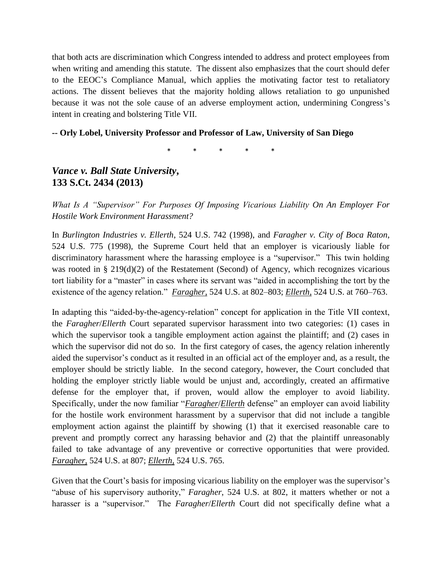that both acts are discrimination which Congress intended to address and protect employees from when writing and amending this statute. The dissent also emphasizes that the court should defer to the EEOC's Compliance Manual, which applies the motivating factor test to retaliatory actions. The dissent believes that the majority holding allows retaliation to go unpunished because it was not the sole cause of an adverse employment action, undermining Congress's intent in creating and bolstering Title VII.

#### **-- Orly Lobel, University Professor and Professor of Law, University of San Diego**

\* \* \* \* \*

*Vance v. Ball State University***, 133 S.Ct. 2434 (2013)**

*What Is A "Supervisor" For Purposes Of Imposing Vicarious Liability On An Employer For Hostile Work Environment Harassment?*

In *Burlington Industries v. Ellerth*, 524 U.S. 742 (1998), and *Faragher v. City of Boca Raton*, 524 U.S. 775 (1998), the Supreme Court held that an employer is vicariously liable for discriminatory harassment where the harassing employee is a "supervisor." This twin holding was rooted in § 219(d)(2) of the Restatement (Second) of Agency, which recognizes vicarious tort liability for a "master" in cases where its servant was "aided in accomplishing the tort by the existence of the agency relation." *[Faragher,](http://www.westlaw.com/Find/Default.wl?rs=dfa1.0&vr=2.0&DB=708&FindType=Y&SerialNum=1998132969)* 524 U.S. at 802–803; *[Ellerth,](http://www.westlaw.com/Find/Default.wl?rs=dfa1.0&vr=2.0&DB=708&FindType=Y&SerialNum=1998132973)* 524 U.S. at 760–763.

In adapting this "aided-by-the-agency-relation" concept for application in the Title VII context, the *Faragher*/*Ellerth* Court separated supervisor harassment into two categories: (1) cases in which the supervisor took a tangible employment action against the plaintiff; and (2) cases in which the supervisor did not do so. In the first category of cases, the agency relation inherently aided the supervisor's conduct as it resulted in an official act of the employer and, as a result, the employer should be strictly liable. In the second category, however, the Court concluded that holding the employer strictly liable would be unjust and, accordingly, created an affirmative defense for the employer that, if proven, would allow the employer to avoid liability. Specifically, under the now familiar "*Faragher*/*Ellerth* defense" an employer can avoid liability for the hostile work environment harassment by a supervisor that did not include a tangible employment action against the plaintiff by showing (1) that it exercised reasonable care to prevent and promptly correct any harassing behavior and (2) that the plaintiff unreasonably failed to take advantage of any preventive or corrective opportunities that were provided. *[Faragher,](http://www.westlaw.com/Find/Default.wl?rs=dfa1.0&vr=2.0&DB=708&FindType=Y&SerialNum=1998132969)* 524 U.S. at 807; *[Ellerth,](http://www.westlaw.com/Find/Default.wl?rs=dfa1.0&vr=2.0&DB=708&FindType=Y&SerialNum=1998132973)* 524 U.S. 765.

Given that the Court's basis for imposing vicarious liability on the employer was the supervisor's "abuse of his supervisory authority," *Faragher*, 524 U.S. at 802, it matters whether or not a harasser is a "supervisor." The *Faragher*/*Ellerth* Court did not specifically define what a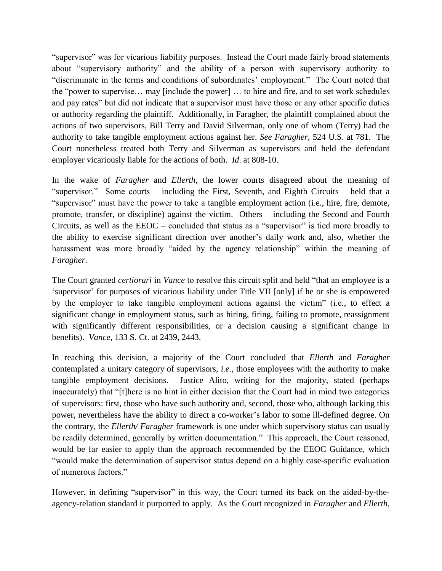"supervisor" was for vicarious liability purposes. Instead the Court made fairly broad statements about "supervisory authority" and the ability of a person with supervisory authority to "discriminate in the terms and conditions of subordinates' employment." The Court noted that the "power to supervise… may [include the power] … to hire and fire, and to set work schedules and pay rates" but did not indicate that a supervisor must have those or any other specific duties or authority regarding the plaintiff. Additionally, in Faragher, the plaintiff complained about the actions of two supervisors, Bill Terry and David Silverman, only one of whom (Terry) had the authority to take tangible employment actions against her. *See Faragher*, 524 U.S. at 781. The Court nonetheless treated both Terry and Silverman as supervisors and held the defendant employer vicariously liable for the actions of both. *Id*. at 808-10.

In the wake of *Faragher* and *Ellerth*, the lower courts disagreed about the meaning of "supervisor." Some courts – including the First, Seventh, and Eighth Circuits – held that a "supervisor" must have the power to take a tangible employment action (i.e., hire, fire, demote, promote, transfer, or discipline) against the victim. Others – including the Second and Fourth Circuits, as well as the EEOC – concluded that status as a "supervisor" is tied more broadly to the ability to exercise significant direction over another's daily work and, also, whether the harassment was more broadly "aided by the agency relationship" within the meaning of *Faragher*.

The Court granted *certiorari* in *Vance* to resolve this circuit split and held "that an employee is a 'supervisor' for purposes of vicarious liability under Title VII [only] if he or she is empowered by the employer to take tangible employment actions against the victim" (i.e., to effect a significant change in employment status, such as hiring, firing, failing to promote, reassignment with significantly different responsibilities, or a decision causing a significant change in benefits). *Vance*, 133 S. Ct. at 2439, 2443.

In reaching this decision, a majority of the Court concluded that *Ellerth* and *Faragher* contemplated a unitary category of supervisors, *i.e.,* those employees with the authority to make tangible employment decisions. Justice Alito, writing for the majority, stated (perhaps inaccurately) that "[t]here is no hint in either decision that the Court had in mind two categories of supervisors: first, those who have such authority and, second, those who, although lacking this power, nevertheless have the ability to direct a co-worker's labor to some ill-defined degree. On the contrary, the *Ellerth/ Faragher* framework is one under which supervisory status can usually be readily determined, generally by written documentation." This approach, the Court reasoned, would be far easier to apply than the approach recommended by the EEOC Guidance, which "would make the determination of supervisor status depend on a highly case-specific evaluation of numerous factors."

However, in defining "supervisor" in this way, the Court turned its back on the aided-by-theagency-relation standard it purported to apply. As the Court recognized in *Faragher* and *Ellerth*,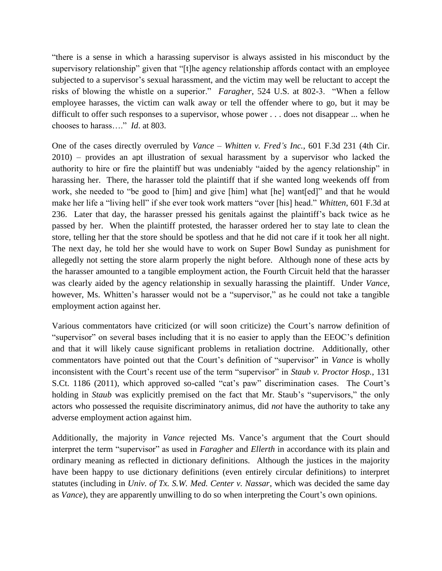"there is a sense in which a harassing supervisor is always assisted in his misconduct by the supervisory relationship" given that "[t]he agency relationship affords contact with an employee subjected to a supervisor's sexual harassment, and the victim may well be reluctant to accept the risks of blowing the whistle on a superior." *Faragher*, 524 U.S. at 802-3. "When a fellow employee harasses, the victim can walk away or tell the offender where to go, but it may be difficult to offer such responses to a supervisor, whose power . . . does not disappear ... when he chooses to harass…." *Id*. at 803.

One of the cases directly overruled by *Vance* – *Whitten v. Fred's Inc.*, 601 F.3d 231 (4th Cir. 2010) – provides an apt illustration of sexual harassment by a supervisor who lacked the authority to hire or fire the plaintiff but was undeniably "aided by the agency relationship" in harassing her. There, the harasser told the plaintiff that if she wanted long weekends off from work, she needed to "be good to [him] and give [him] what [he] want[ed]" and that he would make her life a "living hell" if she ever took work matters "over [his] head." *Whitten*, 601 F.3d at 236. Later that day, the harasser pressed his genitals against the plaintiff's back twice as he passed by her. When the plaintiff protested, the harasser ordered her to stay late to clean the store, telling her that the store should be spotless and that he did not care if it took her all night. The next day, he told her she would have to work on Super Bowl Sunday as punishment for allegedly not setting the store alarm properly the night before. Although none of these acts by the harasser amounted to a tangible employment action, the Fourth Circuit held that the harasser was clearly aided by the agency relationship in sexually harassing the plaintiff. Under *Vance*, however, Ms. Whitten's harasser would not be a "supervisor," as he could not take a tangible employment action against her.

Various commentators have criticized (or will soon criticize) the Court's narrow definition of "supervisor" on several bases including that it is no easier to apply than the EEOC's definition and that it will likely cause significant problems in retaliation doctrine. Additionally, other commentators have pointed out that the Court's definition of "supervisor" in *Vance* is wholly inconsistent with the Court's recent use of the term "supervisor" in *Staub v. Proctor Hosp.*, 131 S.Ct. 1186 (2011), which approved so-called "cat's paw" discrimination cases. The Court's holding in *Staub* was explicitly premised on the fact that Mr. Staub's "supervisors," the only actors who possessed the requisite discriminatory animus, did *not* have the authority to take any adverse employment action against him.

Additionally, the majority in *Vance* rejected Ms. Vance's argument that the Court should interpret the term "supervisor" as used in *Faragher* and *Ellerth* in accordance with its plain and ordinary meaning as reflected in dictionary definitions. Although the justices in the majority have been happy to use dictionary definitions (even entirely circular definitions) to interpret statutes (including in *Univ. of Tx. S.W. Med. Center v. Nassar*, which was decided the same day as *Vance*), they are apparently unwilling to do so when interpreting the Court's own opinions.